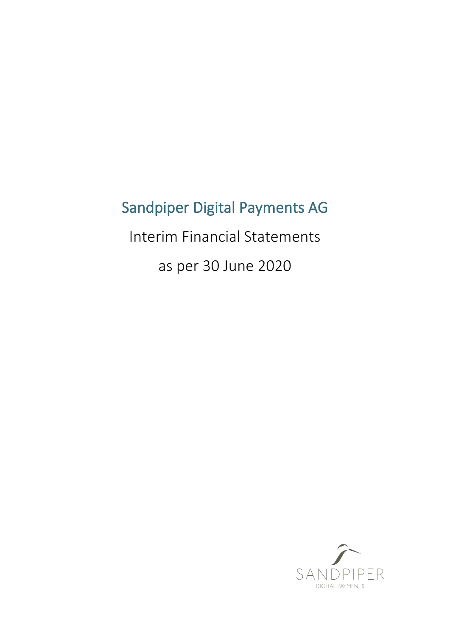# Sandpiper Digital Payments AG

Interim Financial Statements

as per 30 June 2020

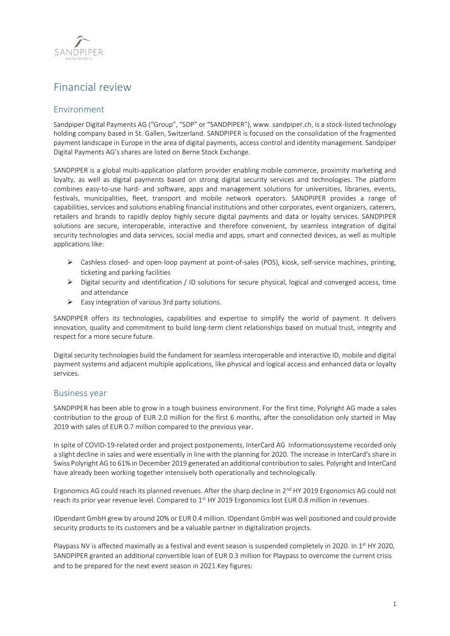

## Financial review

## Environment

Sandpiper Digital Payments AG ("Group", "SDP" or "SANDPIPER"), www. sandpiper.ch, is a stock-listed technology holding company based in St. Gallen, Switzerland. SANDPIPER is focused on the consolidation of the fragmented payment landscape in Europe in the area of digital payments, access control and identity management. Sandpiper Digital Payments AG's shares are listed on Berne Stock Exchange.

SANDPIPER is a global multi-application platform provider enabling mobile commerce, proximity marketing and loyalty, as well as digital payments based on strong digital security services and technologies. The platform combines easy-to-use hard- and software, apps and management solutions for universities, libraries, events, festivals, municipalities, fleet, transport and mobile network operators. SANDPIPER provides a range of capabilities, services and solutions enabling financial institutions and other corporates, event organizers, caterers, retailers and brands to rapidly deploy highly secure digital payments and data or loyalty services. SANDPIPER solutions are secure, interoperable, interactive and therefore convenient, by seamless integration of digital security technologies and data services, social media and apps, smart and connected devices, as well as multiple applications like:

- $\triangleright$  Cashless closed- and open-loop payment at point-of-sales (POS), kiosk, self-service machines, printing, ticketing and parking facilities
- $\triangleright$  Digital security and identification / ID solutions for secure physical, logical and converged access, time and attendance
- $\triangleright$  Easy integration of various 3rd party solutions.

SANDPIPER offers its technologies, capabilities and expertise to simplify the world of payment. It delivers innovation, quality and commitment to build long-term client relationships based on mutual trust, integrity and respect for a more secure future.

Digital security technologies build the fundament for seamless interoperable and interactive ID, mobile and digital payment systems and adjacent multiple applications, like physical and logical access and enhanced data or loyalty services.

## Business year

SANDPIPER has been able to grow in a tough business environment. For the first time, Polyright AG made a sales contribution to the group of EUR 2.0 million for the first 6 months, after the consolidation only started in May 2019 with sales of EUR 0.7 million compared to the previous year.

In spite of COVID-19-related order and project postponements, InterCard AG Informationssysteme recorded only a slight decline in sales and were essentially in line with the planning for 2020. The increase in InterCard's share in Swiss Polyright AG to 61% in December 2019 generated an additional contribution to sales. Polyright and InterCard have already been working together intensively both operationally and technologically.

Ergonomics AG could reach its planned revenues. After the sharp decline in 2<sup>nd</sup> HY 2019 Ergonomics AG could not reach its prior year revenue level. Compared to 1<sup>st</sup> HY 2019 Ergonomics lost EUR 0.8 million in revenues.

IDpendant GmbH grew by around 20% or EUR 0.4 million. IDpendant GmbH was well positioned and could provide security products to its customers and be a valuable partner in digitalization projects.

Playpass NV is affected maximally as a festival and event season is suspended completely in 2020. In 1<sup>st</sup> HY 2020, SANDPIPER granted an additional convertible loan of EUR 0.3 million for Playpass to overcome the current crisis and to be prepared for the next event season in 2021.Key figures: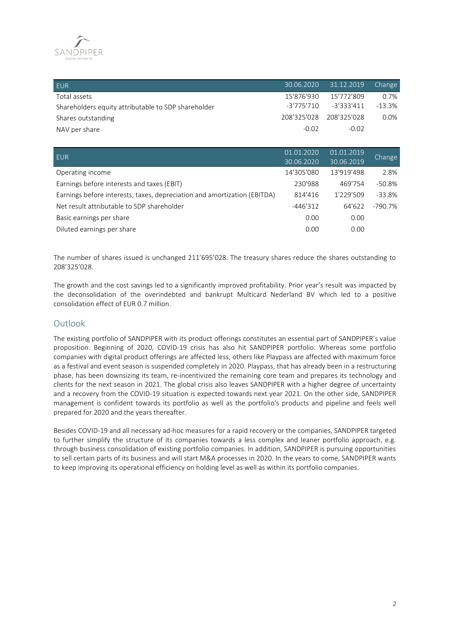

| EUR                                                 |            | 30.06.2020 31.12.2019   | Change   |
|-----------------------------------------------------|------------|-------------------------|----------|
| Total assets                                        | 15'876'930 | 15'772'809              | 0.7%     |
| Shareholders equity attributable to SDP shareholder | -3'775'710 | $-3'333'411$            | $-13.3%$ |
| Shares outstanding                                  |            | 208'325'028 208'325'028 | $0.0\%$  |
| NAV per share                                       | $-0.02$    | $-0.02$                 |          |

| EUR                                                                      | 01.01.2020 | 01.01.2019 | Change   |
|--------------------------------------------------------------------------|------------|------------|----------|
|                                                                          | 30.06.2020 | 30.06.2019 |          |
| Operating income                                                         | 14'305'080 | 13'919'498 | 2.8%     |
| Earnings before interests and taxes (EBIT)                               | 230'988    | 469'754    | $-50.8%$ |
| Earnings before interests, taxes, depreciation and amortization (EBITDA) | 814'416    | 1'229'509  | $-33.8%$ |
| Net result attributable to SDP shareholder                               | $-446'312$ | 64'622     | -790.7%  |
| Basic earnings per share                                                 | 0.00       | 0.00       |          |
| Diluted earnings per share                                               | 0.00       | 0.00       |          |

The number of shares issued is unchanged 211'695'028. The treasury shares reduce the shares outstanding to 208'325'028.

The growth and the cost savings led to a significantly improved profitability. Prior year's result was impacted by the deconsolidation of the overindebted and bankrupt Multicard Nederland BV which led to a positive consolidation effect of EUR 0.7 million.

## **Outlook**

The existing portfolio of SANDPIPER with its product offerings constitutes an essential part of SANDPIPER's value proposition. Beginning of 2020, COVID-19 crisis has also hit SANDPIPER portfolio. Whereas some portfolio companies with digital product offerings are affected less, others like Playpass are affected with maximum force as a festival and event season is suspended completely in 2020. Playpass, that has already been in a restructuring phase, has been downsizing its team, re-incentivized the remaining core team and prepares its technology and clients for the next season in 2021. The global crisis also leaves SANDPIPER with a higher degree of uncertainty and a recovery from the COVID-19 situation is expected towards next year 2021. On the other side, SANDPIPER management is confident towards its portfolio as well as the portfolio's products and pipeline and feels well prepared for 2020 and the years thereafter.

Besides COVID-19 and all necessary ad-hoc measures for a rapid recovery or the companies, SANDPIPER targeted to further simplify the structure of its companies towards a less complex and leaner portfolio approach, e.g. through business consolidation of existing portfolio companies. In addition, SANDPIPER is pursuing opportunities to sell certain parts of its business and will start M&A processes in 2020. In the years to come, SANDPIPER wants to keep improving its operational efficiency on holding level as well as within its portfolio companies.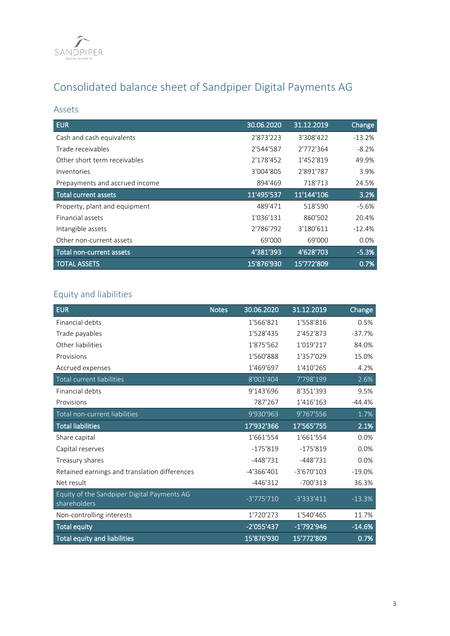

# Consolidated balance sheet of Sandpiper Digital Payments AG

## Assets

| <b>EUR</b>                     | 30.06.2020 | 31.12.2019 | <b>Change</b> |
|--------------------------------|------------|------------|---------------|
| Cash and cash equivalents      | 2'873'223  | 3'308'422  | $-13.2%$      |
| Trade receivables              | 2'544'587  | 2'772'364  | $-8.2%$       |
| Other short term receivables   | 2'178'452  | 1'452'819  | 49.9%         |
| Inventories                    | 3'004'805  | 2'891'787  | 3.9%          |
| Prepayments and accrued income | 894'469    | 718'713    | 24.5%         |
| <b>Total current assets</b>    | 11'495'537 | 11'144'106 | 3.2%          |
| Property, plant and equipment  | 489'471    | 518'590    | $-5.6%$       |
| Financial assets               | 1'036'131  | 860'502    | 20.4%         |
| Intangible assets              | 2'786'792  | 3'180'611  | $-12.4%$      |
| Other non-current assets       | 69'000     | 69'000     | $0.0\%$       |
| Total non-current assets       | 4'381'393  | 4'628'703  | $-5.3%$       |
| <b>TOTAL ASSETS</b>            | 15'876'930 | 15'772'809 | 0.7%          |

## Equity and liabilities

| <b>EUR</b>                                                  | <b>Notes</b> | 30.06.2020   | 31.12.2019   | Change   |
|-------------------------------------------------------------|--------------|--------------|--------------|----------|
| Financial debts                                             |              | 1'566'821    | 1'558'816    | 0.5%     |
| Trade payables                                              |              | 1'528'435    | 2'452'873    | $-37.7%$ |
| Other liabilities                                           |              | 1'875'562    | 1'019'217    | 84.0%    |
| Provisions                                                  |              | 1'560'888    | 1'357'029    | 15.0%    |
| Accrued expenses                                            |              | 1'469'697    | 1'410'265    | 4.2%     |
| Total current liabilities                                   |              | 8'001'404    | 7'798'199    | 2.6%     |
| Financial debts                                             |              | 9'143'696    | 8'351'393    | 9.5%     |
| Provisions                                                  |              | 787'267      | 1'416'163    | $-44.4%$ |
| Total non-current liabilities                               |              | 9'930'963    | 9'767'556    | 1.7%     |
| <b>Total liabilities</b>                                    |              | 17'932'366   | 17'565'755   | 2.1%     |
| Share capital                                               |              | 1'661'554    | 1'661'554    | 0.0%     |
| Capital reserves                                            |              | $-175'819$   | $-175'819$   | 0.0%     |
| Treasury shares                                             |              | $-448'731$   | $-448'731$   | 0.0%     |
| Retained earnings and translation differences               |              | $-4'366'401$ | $-3'670'103$ | $-19.0%$ |
| Net result                                                  |              | $-446'312$   | $-700'313$   | 36.3%    |
| Equity of the Sandpiper Digital Payments AG<br>shareholders |              | $-3'775'710$ | $-3'333'411$ | $-13.3%$ |
| Non-controlling interests                                   |              | 1'720'273    | 1'540'465    | 11.7%    |
| <b>Total equity</b>                                         |              | $-2'055'437$ | $-1'792'946$ | $-14.6%$ |
| <b>Total equity and liabilities</b>                         |              | 15'876'930   | 15'772'809   | 0.7%     |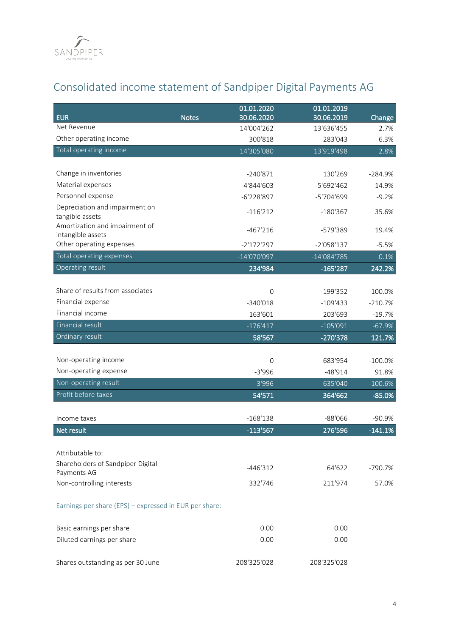

# Consolidated income statement of Sandpiper Digital Payments AG

| <b>EUR</b>                                             | 01.01.2020<br>30.06.2020<br><b>Notes</b> | 01.01.2019<br>30.06.2019 | Change     |
|--------------------------------------------------------|------------------------------------------|--------------------------|------------|
| Net Revenue                                            | 14'004'262                               | 13'636'455               | 2.7%       |
| Other operating income                                 | 300'818                                  | 283'043                  | 6.3%       |
| Total operating income                                 | 14'305'080                               | 13'919'498               | 2.8%       |
|                                                        |                                          |                          |            |
| Change in inventories                                  | $-240'871$                               | 130'269                  | $-284.9%$  |
| Material expenses                                      | -4'844'603                               | -5'692'462               | 14.9%      |
| Personnel expense                                      | -6'228'897                               | -5'704'699               | $-9.2%$    |
| Depreciation and impairment on                         | $-116'212$                               | $-180'367$               | 35.6%      |
| tangible assets<br>Amortization and impairment of      |                                          |                          |            |
| intangible assets                                      | -467'216                                 | -579'389                 | 19.4%      |
| Other operating expenses                               | $-2'172'297$                             | $-2'058'137$             | $-5.5%$    |
| Total operating expenses                               | $-14'070'097$                            | $-14'084'785$            | 0.1%       |
| Operating result                                       | 234'984                                  | $-165'287$               | 242.2%     |
|                                                        |                                          |                          |            |
| Share of results from associates                       | $\overline{0}$                           | $-199'352$               | 100.0%     |
| Financial expense                                      | $-340'018$                               | $-109'433$               | $-210.7%$  |
| Financial income                                       | 163'601                                  | 203'693                  | $-19.7%$   |
| <b>Financial result</b>                                | $-176'417$                               | $-105'091$               | $-67.9%$   |
| Ordinary result                                        | 58'567                                   | -270'378                 | 121.7%     |
|                                                        |                                          |                          |            |
| Non-operating income                                   | $\overline{0}$                           | 683'954                  | $-100.0\%$ |
| Non-operating expense                                  | $-3'996$                                 | $-48'914$                | 91.8%      |
| Non-operating result                                   | $-3'996$                                 | 635'040                  | $-100.6%$  |
| Profit before taxes                                    | 54'571                                   | 364'662                  | $-85.0%$   |
| Income taxes                                           | $-168'138$                               | $-88'066$                | $-90.9%$   |
| Net result                                             | $-113'567$                               | 276'596                  | $-141.1%$  |
|                                                        |                                          |                          |            |
| Attributable to:                                       |                                          |                          |            |
| Shareholders of Sandpiper Digital                      | $-446'312$                               | 64'622                   | $-790.7%$  |
| Payments AG                                            |                                          |                          |            |
| Non-controlling interests                              | 332'746                                  | 211'974                  | 57.0%      |
| Earnings per share (EPS) - expressed in EUR per share: |                                          |                          |            |
| Basic earnings per share                               | 0.00                                     | 0.00                     |            |
| Diluted earnings per share                             | 0.00                                     | 0.00                     |            |
| Shares outstanding as per 30 June                      | 208'325'028                              | 208'325'028              |            |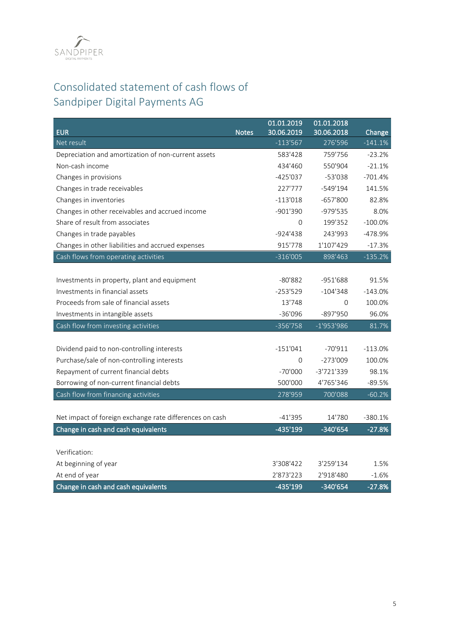

# Consolidated statement of cash flows of Sandpiper Digital Payments AG

|                                                         |              | 01.01.2019  | 01.01.2018   |           |
|---------------------------------------------------------|--------------|-------------|--------------|-----------|
| <b>EUR</b>                                              | <b>Notes</b> | 30.06.2019  | 30.06.2018   | Change    |
| Net result                                              |              | $-113'567$  | 276'596      | $-141.1%$ |
| Depreciation and amortization of non-current assets     |              | 583'428     | 759'756      | $-23.2%$  |
| Non-cash income                                         |              | 434'460     | 550'904      | $-21.1%$  |
| Changes in provisions                                   |              | $-425'037$  | $-53'038$    | $-701.4%$ |
| Changes in trade receivables                            |              | 227'777     | $-549'194$   | 141.5%    |
| Changes in inventories                                  |              | $-113'018$  | $-657'800$   | 82.8%     |
| Changes in other receivables and accrued income         |              | $-901'390$  | -979'535     | 8.0%      |
| Share of result from associates                         |              | $\Omega$    | 199'352      | $-100.0%$ |
| Changes in trade payables                               |              | $-924'438$  | 243'993      | -478.9%   |
| Changes in other liabilities and accrued expenses       |              | 915'778     | 1'107'429    | $-17.3%$  |
| Cash flows from operating activities                    |              | $-316'005$  | 898'463      | $-135.2%$ |
|                                                         |              |             |              |           |
| Investments in property, plant and equipment            |              | $-80'882$   | $-951'688$   | 91.5%     |
| Investments in financial assets                         |              | $-253'529$  | $-104'348$   | $-143.0%$ |
| Proceeds from sale of financial assets                  |              | 13'748      | $\Omega$     | 100.0%    |
| Investments in intangible assets                        |              | $-36'096$   | $-897'950$   | 96.0%     |
| Cash flow from investing activities                     |              | $-356'758$  | $-1'953'986$ | 81.7%     |
|                                                         |              |             |              |           |
| Dividend paid to non-controlling interests              |              | $-151'041$  | $-70'911$    | $-113.0%$ |
| Purchase/sale of non-controlling interests              |              | $\mathbf 0$ | $-273'009$   | 100.0%    |
| Repayment of current financial debts                    |              | $-70'000$   | -3'721'339   | 98.1%     |
| Borrowing of non-current financial debts                |              | 500'000     | 4'765'346    | $-89.5%$  |
| Cash flow from financing activities                     |              | 278'959     | 700'088      | $-60.2%$  |
|                                                         |              |             |              |           |
| Net impact of foreign exchange rate differences on cash |              | $-41'395$   | 14'780       | $-380.1%$ |
| Change in cash and cash equivalents                     |              | $-435'199$  | $-340'654$   | $-27.8%$  |
|                                                         |              |             |              |           |
| Verification:                                           |              |             |              |           |
| At beginning of year                                    |              | 3'308'422   | 3'259'134    | 1.5%      |
| At end of year                                          |              | 2'873'223   | 2'918'480    | $-1.6%$   |
| Change in cash and cash equivalents                     |              | -435'199    | -340'654     | $-27.8%$  |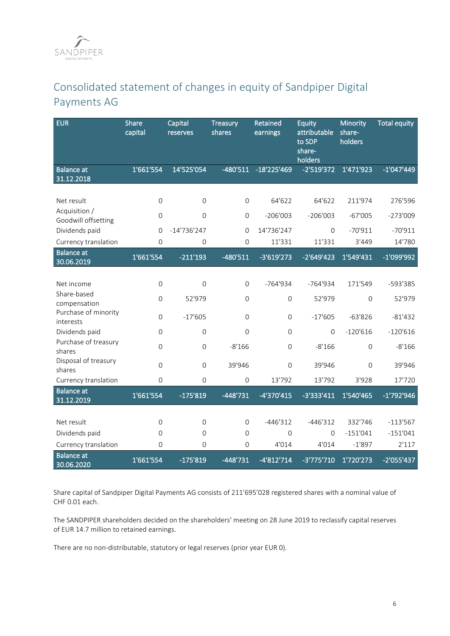# Consolidated statement of changes in equity of Sandpiper Digital Payments AG

| <b>EUR</b>                        | <b>Share</b><br>capital | Capital<br>reserves | Treasury<br>shares | <b>Retained</b><br>earnings | Equity<br>attributable<br>to SDP<br>share-<br>holders | Minority<br>share-<br>holders | <b>Total equity</b> |
|-----------------------------------|-------------------------|---------------------|--------------------|-----------------------------|-------------------------------------------------------|-------------------------------|---------------------|
| <b>Balance at</b><br>31.12.2018   | 1'661'554               | 14'525'054          | $-480'511$         | -18'225'469                 | $-2'519'372$                                          | 1'471'923                     | $-1'047'449$        |
| Net result<br>Acquisition /       | $\mathsf{O}\xspace$     | $\Omega$            | $\Omega$           | 64'622                      | 64'622                                                | 211'974                       | 276'596             |
| Goodwill offsetting               | $\mathbf 0$             | $\overline{0}$      | $\Omega$           | $-206'003$                  | $-206'003$                                            | $-67'005$                     | $-273'009$          |
| Dividends paid                    | $\Omega$                | $-14'736'247$       | $\Omega$           | 14'736'247                  | $\Omega$                                              | $-70'911$                     | $-70'911$           |
| Currency translation              | $\overline{0}$          | 0                   | $\Omega$           | 11'331                      | 11'331                                                | 3'449                         | 14'780              |
| <b>Balance at</b><br>30.06.2019   | 1'661'554               | $-211'193$          | $-480'511$         | $-3'619'273$                | $-2'649'423$                                          | 1'549'431                     | $-1'099'992$        |
|                                   |                         |                     |                    |                             |                                                       |                               |                     |
| Net income                        | $\mathsf{O}\xspace$     | $\Omega$            | $\Omega$           | $-764'934$                  | $-764'934$                                            | 171'549                       | -593'385            |
| Share-based<br>compensation       | $\mathbf 0$             | 52'979              | $\overline{0}$     | $\mathbf 0$                 | 52'979                                                | $\Omega$                      | 52'979              |
| Purchase of minority<br>interests | $\mathsf{O}\xspace$     | $-17'605$           | $\Omega$           | $\Omega$                    | $-17'605$                                             | $-63'826$                     | $-81'432$           |
| Dividends paid                    | $\mathbf 0$             | $\overline{0}$      | $\Omega$           | $\Omega$                    | $\overline{0}$                                        | $-120'616$                    | $-120'616$          |
| Purchase of treasury<br>shares    | $\mathsf{O}$            | $\mathsf{O}\xspace$ | $-8'166$           | $\mathbf 0$                 | $-8'166$                                              | $\Omega$                      | $-8'166$            |
| Disposal of treasury<br>shares    | $\Omega$                | $\Omega$            | 39'946             | $\Omega$                    | 39'946                                                | $\Omega$                      | 39'946              |
| Currency translation              | $\mathsf{O}\xspace$     | $\mathsf{O}\xspace$ | $\mathbf 0$        | 13'792                      | 13'792                                                | 3'928                         | 17'720              |
| <b>Balance</b> at<br>31.12.2019   | 1'661'554               | $-175'819$          | $-448'731$         | $-4'370'415$                | -3'333'411                                            | 1'540'465                     | -1'792'946          |
|                                   |                         |                     |                    |                             |                                                       |                               |                     |
| Net result                        | $\mathbf 0$             | $\overline{0}$      | $\overline{0}$     | $-446'312$                  | $-446'312$                                            | 332'746                       | $-113'567$          |
| Dividends paid                    | 0                       | $\Omega$            | $\Omega$           | $\Omega$                    | $\Omega$                                              | $-151'041$                    | $-151'041$          |
| Currency translation              | 0                       | $\Omega$            | $\overline{0}$     | 4'014                       | 4'014                                                 | $-1'897$                      | 2'117               |
| <b>Balance</b> at<br>30.06.2020   | 1'661'554               | $-175'819$          | $-448'731$         | $-4'812'714$                | $-3'775'710$                                          | 1'720'273                     | -2'055'437          |

Share capital of Sandpiper Digital Payments AG consists of 211'695'028 registered shares with a nominal value of CHF 0.01 each.

The SANDPIPER shareholders decided on the shareholders' meeting on 28 June 2019 to reclassify capital reserves of EUR 14.7 million to retained earnings.

There are no non-distributable, statutory or legal reserves (prior year EUR 0).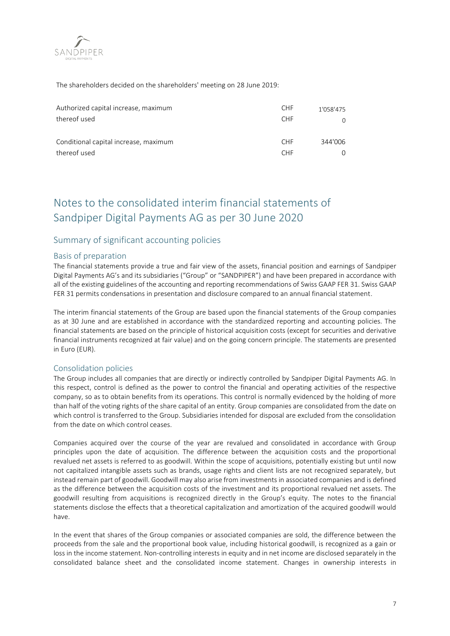

The shareholders decided on the shareholders' meeting on 28 June 2019:

| Authorized capital increase, maximum  | <b>CHF</b> | 1'058'475 |
|---------------------------------------|------------|-----------|
| thereof used                          | <b>CHF</b> |           |
| Conditional capital increase, maximum | <b>CHF</b> | 344'006   |
| thereof used                          | <b>CHF</b> |           |

## Notes to the consolidated interim financial statements of Sandpiper Digital Payments AG as per 30 June 2020

## Summary of significant accounting policies

### Basis of preparation

The financial statements provide a true and fair view of the assets, financial position and earnings of Sandpiper Digital Payments AG's and its subsidiaries ("Group" or "SANDPIPER") and have been prepared in accordance with all of the existing guidelines of the accounting and reporting recommendations of Swiss GAAP FER 31. Swiss GAAP FER 31 permits condensations in presentation and disclosure compared to an annual financial statement.

The interim financial statements of the Group are based upon the financial statements of the Group companies as at 30 June and are established in accordance with the standardized reporting and accounting policies. The financial statements are based on the principle of historical acquisition costs (except for securities and derivative financial instruments recognized at fair value) and on the going concern principle. The statements are presented in Euro (EUR).

## Consolidation policies

The Group includes all companies that are directly or indirectly controlled by Sandpiper Digital Payments AG. In this respect, control is defined as the power to control the financial and operating activities of the respective company, so as to obtain benefits from its operations. This control is normally evidenced by the holding of more than half of the voting rights of the share capital of an entity. Group companies are consolidated from the date on which control is transferred to the Group. Subsidiaries intended for disposal are excluded from the consolidation from the date on which control ceases.

Companies acquired over the course of the year are revalued and consolidated in accordance with Group principles upon the date of acquisition. The difference between the acquisition costs and the proportional revalued net assets is referred to as goodwill. Within the scope of acquisitions, potentially existing but until now not capitalized intangible assets such as brands, usage rights and client lists are not recognized separately, but instead remain part of goodwill. Goodwill may also arise from investments in associated companies and is defined as the difference between the acquisition costs of the investment and its proportional revalued net assets. The goodwill resulting from acquisitions is recognized directly in the Group's equity. The notes to the financial statements disclose the effects that a theoretical capitalization and amortization of the acquired goodwill would have.

In the event that shares of the Group companies or associated companies are sold, the difference between the proceeds from the sale and the proportional book value, including historical goodwill, is recognized as a gain or loss in the income statement. Non-controlling interests in equity and in net income are disclosed separately in the consolidated balance sheet and the consolidated income statement. Changes in ownership interests in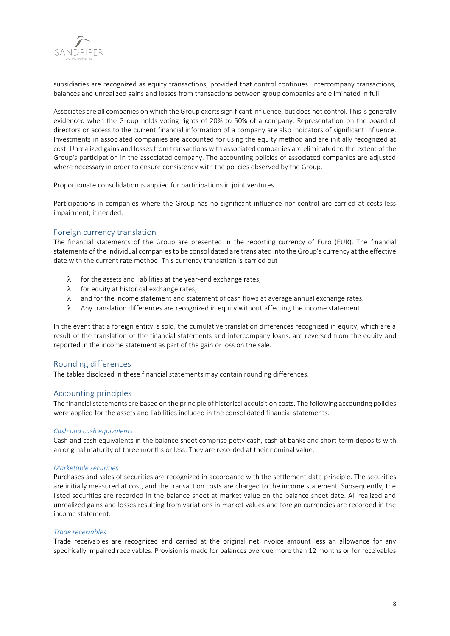

subsidiaries are recognized as equity transactions, provided that control continues. Intercompany transactions, balances and unrealized gains and losses from transactions between group companies are eliminated in full.

Associates are all companies on which the Group exerts significant influence, but does not control. This is generally evidenced when the Group holds voting rights of 20% to 50% of a company. Representation on the board of directors or access to the current financial information of a company are also indicators of significant influence. Investments in associated companies are accounted for using the equity method and are initially recognized at cost. Unrealized gains and losses from transactions with associated companies are eliminated to the extent of the Group's participation in the associated company. The accounting policies of associated companies are adjusted where necessary in order to ensure consistency with the policies observed by the Group.

Proportionate consolidation is applied for participations in joint ventures.

Participations in companies where the Group has no significant influence nor control are carried at costs less impairment, if needed.

## Foreign currency translation

The financial statements of the Group are presented in the reporting currency of Euro (EUR). The financial statements of the individual companies to be consolidated are translated into the Group's currency at the effective date with the current rate method. This currency translation is carried out

- $\lambda$  for the assets and liabilities at the year-end exchange rates,
- $\lambda$  for equity at historical exchange rates.
- $\lambda$  and for the income statement and statement of cash flows at average annual exchange rates.
- $\lambda$  Any translation differences are recognized in equity without affecting the income statement.

In the event that a foreign entity is sold, the cumulative translation differences recognized in equity, which are a result of the translation of the financial statements and intercompany loans, are reversed from the equity and reported in the income statement as part of the gain or loss on the sale.

### Rounding differences

The tables disclosed in these financial statements may contain rounding differences.

## Accounting principles

The financial statements are based on the principle of historical acquisition costs. The following accounting policies were applied for the assets and liabilities included in the consolidated financial statements.

#### *Cash and cash equivalents*

Cash and cash equivalents in the balance sheet comprise petty cash, cash at banks and short-term deposits with an original maturity of three months or less. They are recorded at their nominal value.

#### *Marketable securities*

Purchases and sales of securities are recognized in accordance with the settlement date principle. The securities are initially measured at cost, and the transaction costs are charged to the income statement. Subsequently, the listed securities are recorded in the balance sheet at market value on the balance sheet date. All realized and unrealized gains and losses resulting from variations in market values and foreign currencies are recorded in the income statement.

#### *Trade receivables*

Trade receivables are recognized and carried at the original net invoice amount less an allowance for any specifically impaired receivables. Provision is made for balances overdue more than 12 months or for receivables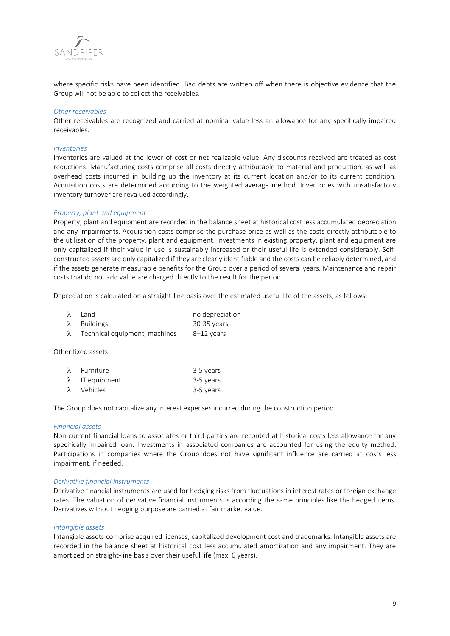

where specific risks have been identified. Bad debts are written off when there is objective evidence that the Group will not be able to collect the receivables.

#### *Other receivables*

Other receivables are recognized and carried at nominal value less an allowance for any specifically impaired receivables.

#### *Inventories*

Inventories are valued at the lower of cost or net realizable value. Any discounts received are treated as cost reductions. Manufacturing costs comprise all costs directly attributable to material and production, as well as overhead costs incurred in building up the inventory at its current location and/or to its current condition. Acquisition costs are determined according to the weighted average method. Inventories with unsatisfactory inventory turnover are revalued accordingly.

#### *Property, plant and equipment*

Property, plant and equipment are recorded in the balance sheet at historical cost less accumulated depreciation and any impairments. Acquisition costs comprise the purchase price as well as the costs directly attributable to the utilization of the property, plant and equipment. Investments in existing property, plant and equipment are only capitalized if their value in use is sustainably increased or their useful life is extended considerably. Selfconstructed assets are only capitalized if they are clearly identifiable and the costs can be reliably determined, and if the assets generate measurable benefits for the Group over a period of several years. Maintenance and repair costs that do not add value are charged directly to the result for the period.

Depreciation is calculated on a straight-line basis over the estimated useful life of the assets, as follows:

| λ Land                                  | no depreciation |
|-----------------------------------------|-----------------|
| $\lambda$ Buildings                     | 30-35 vears     |
| $\lambda$ Technical equipment, machines | 8–12 vears      |

Other fixed assets:

| $\lambda$ Furniture    | 3-5 years |
|------------------------|-----------|
| $\lambda$ IT equipment | 3-5 years |
| λ Vehicles             | 3-5 years |

The Group does not capitalize any interest expenses incurred during the construction period.

#### *Financial assets*

Non-current financial loans to associates or third parties are recorded at historical costs less allowance for any specifically impaired loan. Investments in associated companies are accounted for using the equity method. Participations in companies where the Group does not have significant influence are carried at costs less impairment, if needed.

#### *Derivative financial instruments*

Derivative financial instruments are used for hedging risks from fluctuations in interest rates or foreign exchange rates. The valuation of derivative financial instruments is according the same principles like the hedged items. Derivatives without hedging purpose are carried at fair market value.

#### *Intangible assets*

Intangible assets comprise acquired licenses, capitalized development cost and trademarks. Intangible assets are recorded in the balance sheet at historical cost less accumulated amortization and any impairment. They are amortized on straight-line basis over their useful life (max. 6 years).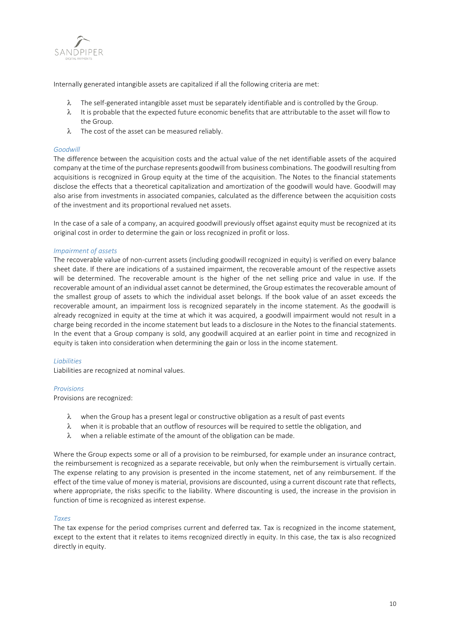

Internally generated intangible assets are capitalized if all the following criteria are met:

- $\lambda$  The self-generated intangible asset must be separately identifiable and is controlled by the Group.
- $\lambda$  It is probable that the expected future economic benefits that are attributable to the asset will flow to the Group.
- $\lambda$  The cost of the asset can be measured reliably.

#### *Goodwill*

The difference between the acquisition costs and the actual value of the net identifiable assets of the acquired company at the time of the purchase represents goodwill from business combinations. The goodwill resulting from acquisitions is recognized in Group equity at the time of the acquisition. The Notes to the financial statements disclose the effects that a theoretical capitalization and amortization of the goodwill would have. Goodwill may also arise from investments in associated companies, calculated as the difference between the acquisition costs of the investment and its proportional revalued net assets.

In the case of a sale of a company, an acquired goodwill previously offset against equity must be recognized at its original cost in order to determine the gain or loss recognized in profit or loss.

#### *Impairment of assets*

The recoverable value of non-current assets (including goodwill recognized in equity) is verified on every balance sheet date. If there are indications of a sustained impairment, the recoverable amount of the respective assets will be determined. The recoverable amount is the higher of the net selling price and value in use. If the recoverable amount of an individual asset cannot be determined, the Group estimates the recoverable amount of the smallest group of assets to which the individual asset belongs. If the book value of an asset exceeds the recoverable amount, an impairment loss is recognized separately in the income statement. As the goodwill is already recognized in equity at the time at which it was acquired, a goodwill impairment would not result in a charge being recorded in the income statement but leads to a disclosure in the Notes to the financial statements. In the event that a Group company is sold, any goodwill acquired at an earlier point in time and recognized in equity is taken into consideration when determining the gain or loss in the income statement.

#### *Liabilities*

Liabilities are recognized at nominal values.

### *Provisions*

Provisions are recognized:

- $\lambda$  when the Group has a present legal or constructive obligation as a result of past events
- $\lambda$  when it is probable that an outflow of resources will be required to settle the obligation, and
- $\lambda$  when a reliable estimate of the amount of the obligation can be made.

Where the Group expects some or all of a provision to be reimbursed, for example under an insurance contract, the reimbursement is recognized as a separate receivable, but only when the reimbursement is virtually certain. The expense relating to any provision is presented in the income statement, net of any reimbursement. If the effect of the time value of money is material, provisions are discounted, using a current discount rate that reflects, where appropriate, the risks specific to the liability. Where discounting is used, the increase in the provision in function of time is recognized as interest expense.

#### *Taxes*

The tax expense for the period comprises current and deferred tax. Tax is recognized in the income statement, except to the extent that it relates to items recognized directly in equity. In this case, the tax is also recognized directly in equity.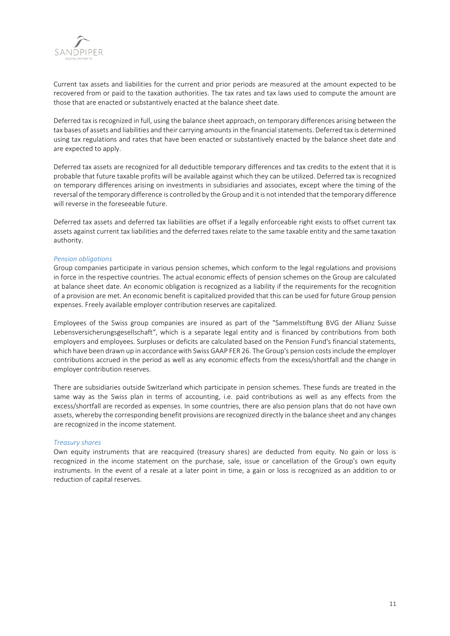

Current tax assets and liabilities for the current and prior periods are measured at the amount expected to be recovered from or paid to the taxation authorities. The tax rates and tax laws used to compute the amount are those that are enacted or substantively enacted at the balance sheet date.

Deferred tax is recognized in full, using the balance sheet approach, on temporary differences arising between the tax bases of assets and liabilities and their carrying amounts in the financial statements. Deferred tax is determined using tax regulations and rates that have been enacted or substantively enacted by the balance sheet date and are expected to apply.

Deferred tax assets are recognized for all deductible temporary differences and tax credits to the extent that it is probable that future taxable profits will be available against which they can be utilized. Deferred tax is recognized on temporary differences arising on investments in subsidiaries and associates, except where the timing of the reversal of the temporary difference is controlled by the Group and it is not intended that the temporary difference will reverse in the foreseeable future.

Deferred tax assets and deferred tax liabilities are offset if a legally enforceable right exists to offset current tax assets against current tax liabilities and the deferred taxes relate to the same taxable entity and the same taxation authority.

#### *Pension obligations*

Group companies participate in various pension schemes, which conform to the legal regulations and provisions in force in the respective countries. The actual economic effects of pension schemes on the Group are calculated at balance sheet date. An economic obligation is recognized as a liability if the requirements for the recognition of a provision are met. An economic benefit is capitalized provided that this can be used for future Group pension expenses. Freely available employer contribution reserves are capitalized.

Employees of the Swiss group companies are insured as part of the "Sammelstiftung BVG der Allianz Suisse Lebensversicherungsgesellschaft", which is a separate legal entity and is financed by contributions from both employers and employees. Surpluses or deficits are calculated based on the Pension Fund's financial statements, which have been drawn up in accordance with Swiss GAAP FER 26. The Group's pension costs include the employer contributions accrued in the period as well as any economic effects from the excess/shortfall and the change in employer contribution reserves.

There are subsidiaries outside Switzerland which participate in pension schemes. These funds are treated in the same way as the Swiss plan in terms of accounting, i.e. paid contributions as well as any effects from the excess/shortfall are recorded as expenses. In some countries, there are also pension plans that do not have own assets, whereby the corresponding benefit provisions are recognized directly in the balance sheet and any changes are recognized in the income statement.

#### *Treasury shares*

Own equity instruments that are reacquired (treasury shares) are deducted from equity. No gain or loss is recognized in the income statement on the purchase, sale, issue or cancellation of the Group's own equity instruments. In the event of a resale at a later point in time, a gain or loss is recognized as an addition to or reduction of capital reserves.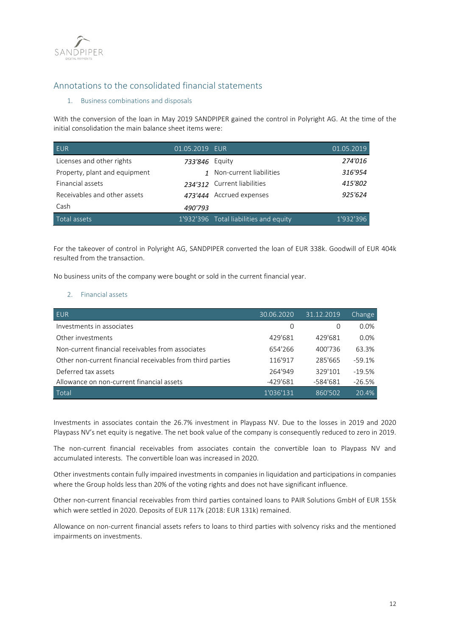

## Annotations to the consolidated financial statements

## 1. Business combinations and disposals

With the conversion of the loan in May 2019 SANDPIPER gained the control in Polyright AG. At the time of the initial consolidation the main balance sheet items were:

| <b>EUR</b>                    | 01.05.2019 EUR |                                        | 01.05.2019 |
|-------------------------------|----------------|----------------------------------------|------------|
| Licenses and other rights     | 733'846 Equity |                                        | 274'016    |
| Property, plant and equipment |                | 1 Non-current liabilities              | 316'954    |
| Financial assets              |                | 234'312 Current liabilities            | 415'802    |
| Receivables and other assets  |                | 473'444 Accrued expenses               | 925'624    |
| Cash                          | 490'793        |                                        |            |
| Total assets                  |                | 1'932'396 Total liabilities and equity | 1'932'396  |

For the takeover of control in Polyright AG, SANDPIPER converted the loan of EUR 338k. Goodwill of EUR 404k resulted from the transaction.

No business units of the company were bought or sold in the current financial year.

### 2. Financial assets

| <b>EUR</b>                                                 | 30.06.2020 | 31.12.2019 | Change   |
|------------------------------------------------------------|------------|------------|----------|
| Investments in associates                                  | 0          | 0          | 0.0%     |
| Other investments                                          | 429'681    | 429'681    | 0.0%     |
| Non-current financial receivables from associates          | 654'266    | 400'736    | 63.3%    |
| Other non-current financial receivables from third parties | 116'917    | 285'665    | $-59.1%$ |
| Deferred tax assets                                        | 264'949    | 329'101    | $-19.5%$ |
| Allowance on non-current financial assets                  | $-429'681$ | $-584'681$ | $-26.5%$ |
| Total                                                      | 1'036'131  | 860'502    | 20.4%    |

Investments in associates contain the 26.7% investment in Playpass NV. Due to the losses in 2019 and 2020 Playpass NV's net equity is negative. The net book value of the company is consequently reduced to zero in 2019.

The non-current financial receivables from associates contain the convertible loan to Playpass NV and accumulated interests. The convertible loan was increased in 2020.

Other investments contain fully impaired investments in companies in liquidation and participations in companies where the Group holds less than 20% of the voting rights and does not have significant influence.

Other non-current financial receivables from third parties contained loans to PAIR Solutions GmbH of EUR 155k which were settled in 2020. Deposits of EUR 117k (2018: EUR 131k) remained.

Allowance on non-current financial assets refers to loans to third parties with solvency risks and the mentioned impairments on investments.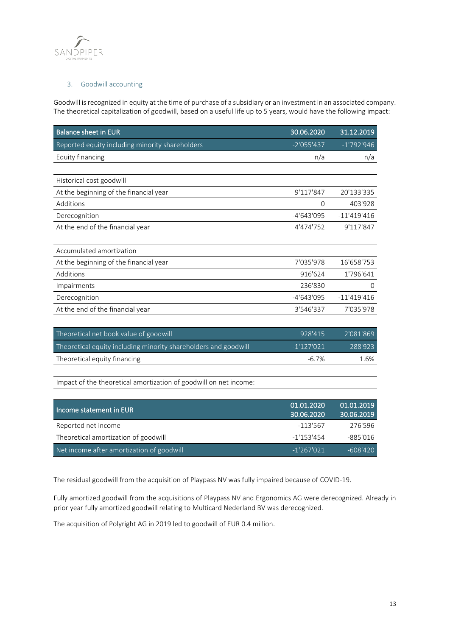

## 3. Goodwill accounting

Goodwill is recognized in equity at the time of purchase of a subsidiary or an investment in an associated company. The theoretical capitalization of goodwill, based on a useful life up to 5 years, would have the following impact:

| <b>Balance sheet in EUR</b>                     | 30.06.2020   | 31.12.2019    |
|-------------------------------------------------|--------------|---------------|
| Reported equity including minority shareholders | $-2'055'437$ | $-1'792'946$  |
| Equity financing                                | n/a          | n/a           |
|                                                 |              |               |
| Historical cost goodwill                        |              |               |
| At the beginning of the financial year          | 9'117'847    | 20'133'335    |
| Additions                                       | 0            | 403'928       |
| Derecognition                                   | -4'643'095   | $-11'419'416$ |
| At the end of the financial year                | 4'474'752    | 9'117'847     |
|                                                 |              |               |
| Accumulated amortization                        |              |               |
| At the beginning of the financial year          | 7'035'978    | 16'658'753    |
| Additions                                       | 916'624      | 1'796'641     |
| Impairments                                     | 236'830      | $\Omega$      |
| Derecognition                                   | -4'643'095   | $-11'419'416$ |
| At the end of the financial year                | 3'546'337    | 7'035'978     |

| Theoretical net book value of goodwill                          | 928'415      | 2'081'869 |
|-----------------------------------------------------------------|--------------|-----------|
| Theoretical equity including minority shareholders and goodwill | $-1'127'021$ | 788'923   |
| Theoretical equity financing                                    | $-6.7\%$     | 1.6%      |
|                                                                 |              |           |

Impact of the theoretical amortization of goodwill on net income:

| Income statement in EUR                   | 01.01.2020<br>30.06.2020 | 01.01.2019<br>30.06.2019 |
|-------------------------------------------|--------------------------|--------------------------|
| Reported net income                       | $-113'567$               | 276'596                  |
| Theoretical amortization of goodwill      | $-1'153'454$             | $-885'016$               |
| Net income after amortization of goodwill | $-1'267'021$             | $-608'420$               |

The residual goodwill from the acquisition of Playpass NV was fully impaired because of COVID-19.

Fully amortized goodwill from the acquisitions of Playpass NV and Ergonomics AG were derecognized. Already in prior year fully amortized goodwill relating to Multicard Nederland BV was derecognized.

The acquisition of Polyright AG in 2019 led to goodwill of EUR 0.4 million.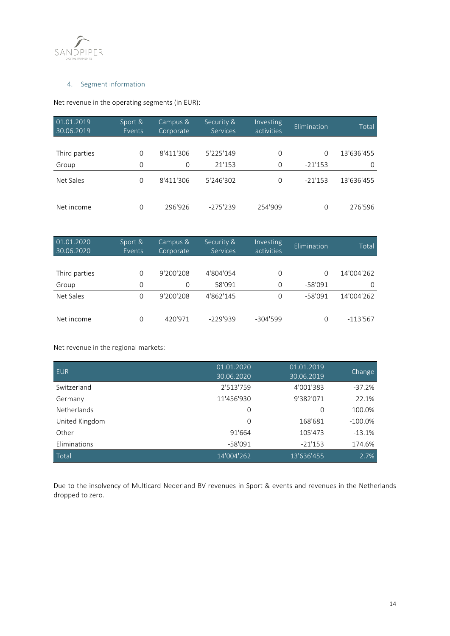

## 4. Segment information

Net revenue in the operating segments (in EUR):

| 01.01.2019<br>$\sqrt{30.06}$ .2019 | Sport &<br>Events | Campus &<br>Corporate | Security &<br>Services | Investing<br>activities | Elimination | Total      |
|------------------------------------|-------------------|-----------------------|------------------------|-------------------------|-------------|------------|
|                                    |                   |                       |                        |                         |             |            |
| Third parties                      | $\Omega$          | 8'411'306             | 5'225'149              | $\Omega$                | $\Omega$    | 13'636'455 |
| Group                              | $\Omega$          | 0                     | 21'153                 | $\Omega$                | $-21'153$   | $\Omega$   |
| Net Sales                          | $\Omega$          | 8'411'306             | 5'246'302              | $\Omega$                | $-21'153$   | 13'636'455 |
| Net income                         | 0                 | 296'926               | $-275'239$             | 254'909                 | 0           | 276'596    |

| 01.01.2020<br>30.06.2020 | Sport &<br>Events | Campus &<br>Corporate | Security &<br>Services | Investing<br>activities | Elimination | Total      |
|--------------------------|-------------------|-----------------------|------------------------|-------------------------|-------------|------------|
|                          |                   |                       |                        |                         |             |            |
| Third parties            | $\Omega$          | 9'200'208             | 4'804'054              | $\Omega$                | $\Omega$    | 14'004'262 |
| Group                    | $\Omega$          | $\Omega$              | 58'091                 | 0                       | $-58'091$   | $\Omega$   |
| Net Sales                | 0                 | 9'200'208             | 4'862'145              | $\Omega$                | $-58'091$   | 14'004'262 |
| Net income               | $\Omega$          | 420'971               | $-229'939$             | $-304'599$              | O           | $-113'567$ |

Net revenue in the regional markets:

| <b>EUR</b>         | 01.01.2020<br>30.06.2020 | 01.01.2019<br>30.06.2019 | Change     |
|--------------------|--------------------------|--------------------------|------------|
| Switzerland        | 2'513'759                | 4'001'383                | $-37.2%$   |
| Germany            | 11'456'930               | 9'382'071                | 22.1%      |
| <b>Netherlands</b> | $\Omega$                 | $\Omega$                 | 100.0%     |
| United Kingdom     | $\Omega$                 | 168'681                  | $-100.0\%$ |
| Other              | 91'664                   | 105'473                  | $-13.1%$   |
| Eliminations       | $-58'091$                | $-21'153$                | 174.6%     |
| Total              | 14'004'262               | 13'636'455               | 2.7%       |

Due to the insolvency of Multicard Nederland BV revenues in Sport & events and revenues in the Netherlands dropped to zero.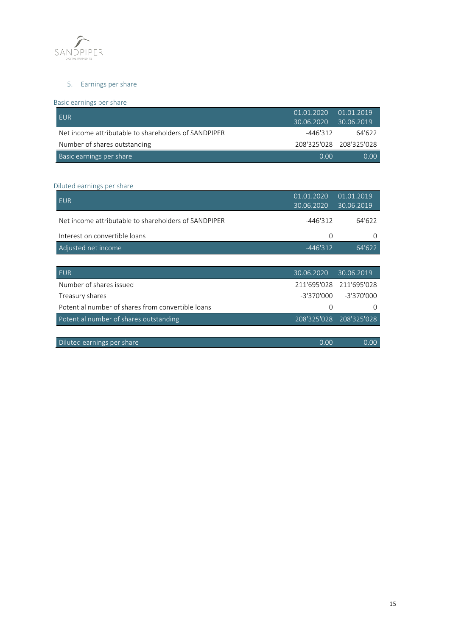

## 5. Earnings per share

## Basic earnings per share

| I EUR                                                | 01.01.2020<br>30.06.2020 | 01.01.2019<br>30.06.2019 |
|------------------------------------------------------|--------------------------|--------------------------|
| Net income attributable to shareholders of SANDPIPER | -446'312                 | 64'622                   |
| Number of shares outstanding                         |                          | 208'325'028 208'325'028  |
| Basic earnings per share                             | 0.00                     | $0.00 -$                 |

## Diluted earnings per share

| <b>EUR</b>                                           | 01.01.2020<br>30.06.2020 | 01.01.2019<br>30.06.2019 |
|------------------------------------------------------|--------------------------|--------------------------|
| Net income attributable to shareholders of SANDPIPER | $-446'312$               | 64'622                   |
| Interest on convertible loans                        | 0                        | 0                        |
| Adjusted net income                                  | $-446'312$               | 64'622                   |
|                                                      |                          |                          |
| <b>EUR</b>                                           | 30.06.2020               | 30.06.2019               |
| Number of shares issued                              | 211'695'028              | 211'695'028              |
| Treasury shares                                      | -3'370'000               | $-3'370'000$             |
| Potential number of shares from convertible loans    | $\Omega$                 | $\Omega$                 |
| Potential number of shares outstanding               | 208'325'028              | 208'325'028              |
|                                                      |                          |                          |
|                                                      |                          |                          |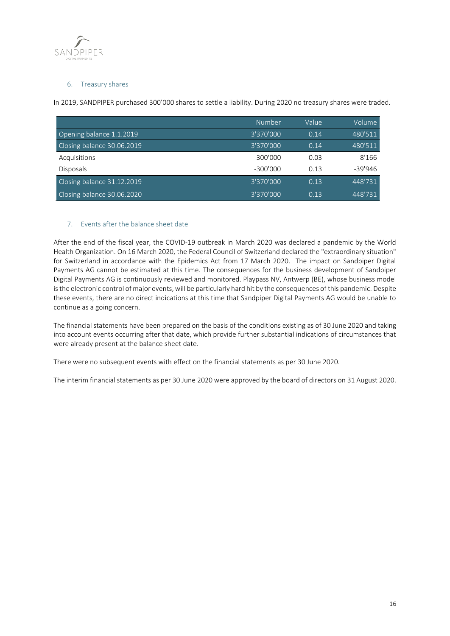

## 6. Treasury shares

In 2019, SANDPIPER purchased 300'000 shares to settle a liability. During 2020 no treasury shares were traded.

|                            | Number     | Value | Volume    |
|----------------------------|------------|-------|-----------|
| Opening balance 1.1.2019   | 3'370'000  | 0.14  | 480'511   |
| Closing balance 30.06.2019 | 3'370'000  | 0.14  | 480'511   |
| Acquisitions               | 300'000    | 0.03  | 8'166     |
| <b>Disposals</b>           | $-300'000$ | 0.13  | $-39'946$ |
| Closing balance 31.12.2019 | 3'370'000  | 0.13  | 448'731   |
| Closing balance 30.06.2020 | 3'370'000  | 0.13  | 448'731   |

## 7. Events after the balance sheet date

After the end of the fiscal year, the COVID-19 outbreak in March 2020 was declared a pandemic by the World Health Organization. On 16 March 2020, the Federal Council of Switzerland declared the "extraordinary situation" for Switzerland in accordance with the Epidemics Act from 17 March 2020. The impact on Sandpiper Digital Payments AG cannot be estimated at this time. The consequences for the business development of Sandpiper Digital Payments AG is continuously reviewed and monitored. Playpass NV, Antwerp (BE), whose business model is the electronic control of major events, will be particularly hard hit by the consequences of this pandemic. Despite these events, there are no direct indications at this time that Sandpiper Digital Payments AG would be unable to continue as a going concern.

The financial statements have been prepared on the basis of the conditions existing as of 30 June 2020 and taking into account events occurring after that date, which provide further substantial indications of circumstances that were already present at the balance sheet date.

There were no subsequent events with effect on the financial statements as per 30 June 2020.

The interim financial statements as per 30 June 2020 were approved by the board of directors on 31 August 2020.